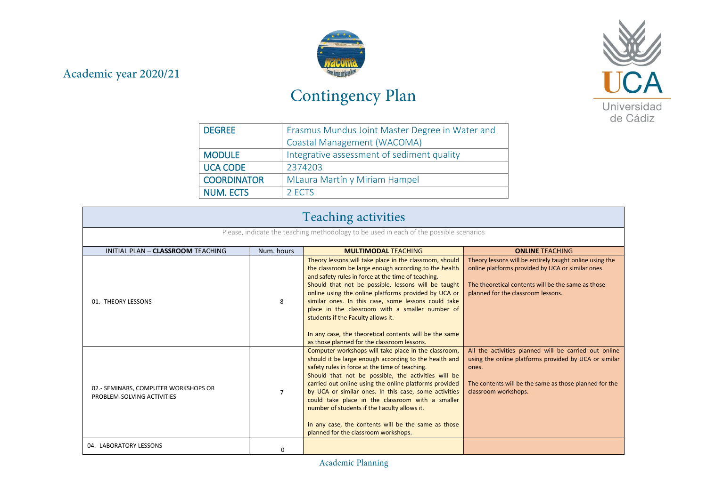## Academic year 2020/21



## Contingency Plan



| <b>DEGREE</b>      | Erasmus Mundus Joint Master Degree in Water and |  |  |
|--------------------|-------------------------------------------------|--|--|
|                    | Coastal Management (WACOMA)                     |  |  |
| <b>MODULE</b>      | Integrative assessment of sediment quality      |  |  |
| <b>UCA CODE</b>    | 2374203                                         |  |  |
| <b>COORDINATOR</b> | MLaura Martín y Miriam Hampel                   |  |  |
| <b>NUM. ECTS</b>   | 2 ECTS                                          |  |  |

| <b>Teaching activities</b>                                                             |                |                                                                                                                                                                                                                                                                                                                                                                                                                                                                                                                                                |                                                                                                                                                                                                           |  |
|----------------------------------------------------------------------------------------|----------------|------------------------------------------------------------------------------------------------------------------------------------------------------------------------------------------------------------------------------------------------------------------------------------------------------------------------------------------------------------------------------------------------------------------------------------------------------------------------------------------------------------------------------------------------|-----------------------------------------------------------------------------------------------------------------------------------------------------------------------------------------------------------|--|
| Please, indicate the teaching methodology to be used in each of the possible scenarios |                |                                                                                                                                                                                                                                                                                                                                                                                                                                                                                                                                                |                                                                                                                                                                                                           |  |
| INITIAL PLAN - CLASSROOM TEACHING                                                      | Num, hours     | <b>MULTIMODAL TEACHING</b>                                                                                                                                                                                                                                                                                                                                                                                                                                                                                                                     | <b>ONLINE TEACHING</b>                                                                                                                                                                                    |  |
| 01.- THEORY LESSONS                                                                    | 8              | Theory lessons will take place in the classroom, should<br>the classroom be large enough according to the health<br>and safety rules in force at the time of teaching.<br>Should that not be possible, lessons will be taught<br>online using the online platforms provided by UCA or<br>similar ones. In this case, some lessons could take<br>place in the classroom with a smaller number of<br>students if the Faculty allows it.<br>In any case, the theoretical contents will be the same<br>as those planned for the classroom lessons. | Theory lessons will be entirely taught online using the<br>online platforms provided by UCA or similar ones.<br>The theoretical contents will be the same as those<br>planned for the classroom lessons.  |  |
| 02.- SEMINARS, COMPUTER WORKSHOPS OR<br>PROBLEM-SOLVING ACTIVITIES                     | $\overline{7}$ | Computer workshops will take place in the classroom,<br>should it be large enough according to the health and<br>safety rules in force at the time of teaching.<br>Should that not be possible, the activities will be<br>carried out online using the online platforms provided<br>by UCA or similar ones. In this case, some activities<br>could take place in the classroom with a smaller<br>number of students if the Faculty allows it.<br>In any case, the contents will be the same as those<br>planned for the classroom workshops.   | All the activities planned will be carried out online<br>using the online platforms provided by UCA or similar<br>ones.<br>The contents will be the same as those planned for the<br>classroom workshops. |  |
| 04.- LABORATORY LESSONS                                                                | 0              |                                                                                                                                                                                                                                                                                                                                                                                                                                                                                                                                                |                                                                                                                                                                                                           |  |

Academic Planning